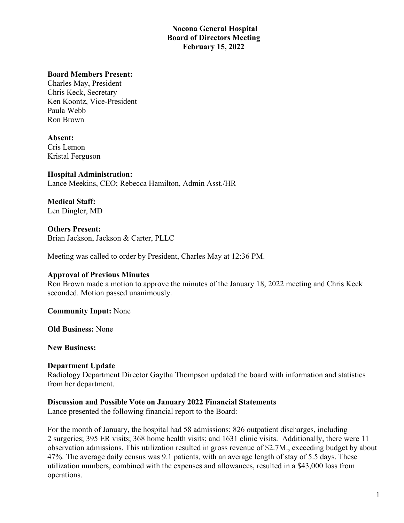## **Nocona General Hospital Board of Directors Meeting February 15, 2022**

#### **Board Members Present:**

Charles May, President Chris Keck, Secretary Ken Koontz, Vice-President Paula Webb Ron Brown

#### **Absent:**

Cris Lemon Kristal Ferguson

#### **Hospital Administration:**

Lance Meekins, CEO; Rebecca Hamilton, Admin Asst./HR

**Medical Staff:** Len Dingler, MD

**Others Present:** Brian Jackson, Jackson & Carter, PLLC

Meeting was called to order by President, Charles May at 12:36 PM.

#### **Approval of Previous Minutes**

Ron Brown made a motion to approve the minutes of the January 18, 2022 meeting and Chris Keck seconded. Motion passed unanimously.

**Community Input:** None

**Old Business:** None

**New Business:**

#### **Department Update**

Radiology Department Director Gaytha Thompson updated the board with information and statistics from her department.

#### **Discussion and Possible Vote on January 2022 Financial Statements**

Lance presented the following financial report to the Board:

For the month of January, the hospital had 58 admissions; 826 outpatient discharges, including 2 surgeries; 395 ER visits; 368 home health visits; and 1631 clinic visits. Additionally, there were 11 observation admissions. This utilization resulted in gross revenue of \$2.7M., exceeding budget by about 47%. The average daily census was 9.1 patients, with an average length of stay of 5.5 days. These utilization numbers, combined with the expenses and allowances, resulted in a \$43,000 loss from operations.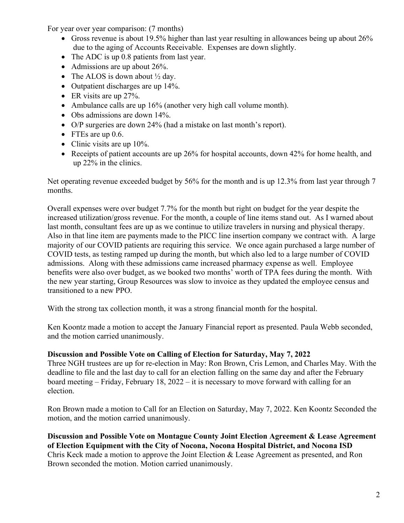For year over year comparison: (7 months)

- Gross revenue is about 19.5% higher than last year resulting in allowances being up about 26% due to the aging of Accounts Receivable. Expenses are down slightly.
- The ADC is up 0.8 patients from last year.
- Admissions are up about 26%.
- The ALOS is down about  $\frac{1}{2}$  day.
- Outpatient discharges are up 14%.
- ER visits are up 27%.
- Ambulance calls are up 16% (another very high call volume month).
- Obs admissions are down 14%.
- O/P surgeries are down 24% (had a mistake on last month's report).
- FTEs are up 0.6.
- Clinic visits are up 10%.
- Receipts of patient accounts are up 26% for hospital accounts, down 42% for home health, and up 22% in the clinics.

Net operating revenue exceeded budget by 56% for the month and is up 12.3% from last year through 7 months.

Overall expenses were over budget 7.7% for the month but right on budget for the year despite the increased utilization/gross revenue. For the month, a couple of line items stand out. As I warned about last month, consultant fees are up as we continue to utilize travelers in nursing and physical therapy. Also in that line item are payments made to the PICC line insertion company we contract with. A large majority of our COVID patients are requiring this service. We once again purchased a large number of COVID tests, as testing ramped up during the month, but which also led to a large number of COVID admissions. Along with these admissions came increased pharmacy expense as well. Employee benefits were also over budget, as we booked two months' worth of TPA fees during the month. With the new year starting, Group Resources was slow to invoice as they updated the employee census and transitioned to a new PPO.

With the strong tax collection month, it was a strong financial month for the hospital.

Ken Koontz made a motion to accept the January Financial report as presented. Paula Webb seconded, and the motion carried unanimously.

## **Discussion and Possible Vote on Calling of Election for Saturday, May 7, 2022**

Three NGH trustees are up for re-election in May: Ron Brown, Cris Lemon, and Charles May. With the deadline to file and the last day to call for an election falling on the same day and after the February board meeting – Friday, February 18, 2022 – it is necessary to move forward with calling for an election.

Ron Brown made a motion to Call for an Election on Saturday, May 7, 2022. Ken Koontz Seconded the motion, and the motion carried unanimously.

**Discussion and Possible Vote on Montague County Joint Election Agreement & Lease Agreement of Election Equipment with the City of Nocona, Nocona Hospital District, and Nocona ISD** Chris Keck made a motion to approve the Joint Election & Lease Agreement as presented, and Ron Brown seconded the motion. Motion carried unanimously.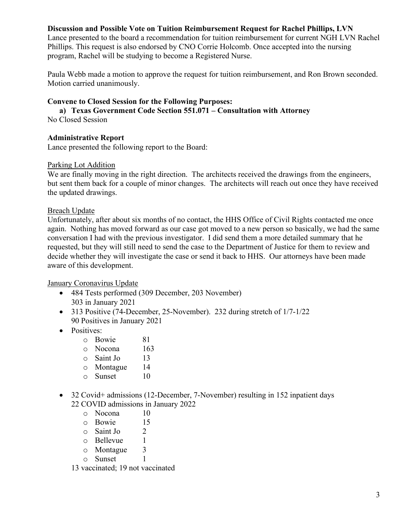## **Discussion and Possible Vote on Tuition Reimbursement Request for Rachel Phillips, LVN**

Lance presented to the board a recommendation for tuition reimbursement for current NGH LVN Rachel Phillips. This request is also endorsed by CNO Corrie Holcomb. Once accepted into the nursing program, Rachel will be studying to become a Registered Nurse.

Paula Webb made a motion to approve the request for tuition reimbursement, and Ron Brown seconded. Motion carried unanimously.

### **Convene to Closed Session for the Following Purposes:**

**a) Texas Government Code Section 551.071 – Consultation with Attorney**

No Closed Session

## **Administrative Report**

Lance presented the following report to the Board:

#### Parking Lot Addition

We are finally moving in the right direction. The architects received the drawings from the engineers, but sent them back for a couple of minor changes. The architects will reach out once they have received the updated drawings.

## Breach Update

Unfortunately, after about six months of no contact, the HHS Office of Civil Rights contacted me once again. Nothing has moved forward as our case got moved to a new person so basically, we had the same conversation I had with the previous investigator. I did send them a more detailed summary that he requested, but they will still need to send the case to the Department of Justice for them to review and decide whether they will investigate the case or send it back to HHS. Our attorneys have been made aware of this development.

January Coronavirus Update

- 484 Tests performed (309 December, 203 November) 303 in January 2021
- 313 Positive (74-December, 25-November). 232 during stretch of  $1/7-1/22$ 90 Positives in January 2021
- Positives:
	- o Bowie 81
	- o Nocona 163
	-
	- o Saint Jo 13<br>
	o Montague 14
	- o Montague 14 o Sunset
- 32 Covid+ admissions (12-December, 7-November) resulting in 152 inpatient days 22 COVID admissions in January 2022
	- o Nocona 10
	- $\circ$  Bowie 15<br> $\circ$  Saint Jo 2
	- o Saint Jo 2
	- o Bellevue 1<br>
	o Montague 3
	- o Montague 3
	- o Sunset 1
	- 13 vaccinated; 19 not vaccinated